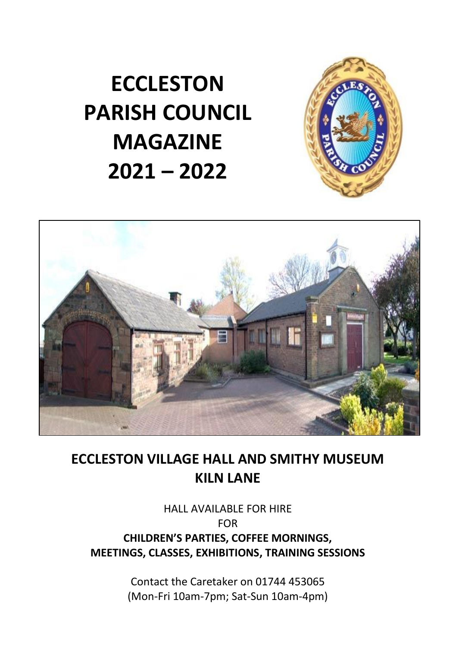**ECCLESTON PARISH COUNCIL MAGAZINE 2021 – 2022**





# **ECCLESTON VILLAGE HALL AND SMITHY MUSEUM KILN LANE**

# HALL AVAILABLE FOR HIRE FOR **CHILDREN'S PARTIES, COFFEE MORNINGS, MEETINGS, CLASSES, EXHIBITIONS, TRAINING SESSIONS**

Contact the Caretaker on 01744 453065 (Mon-Fri 10am-7pm; Sat-Sun 10am-4pm)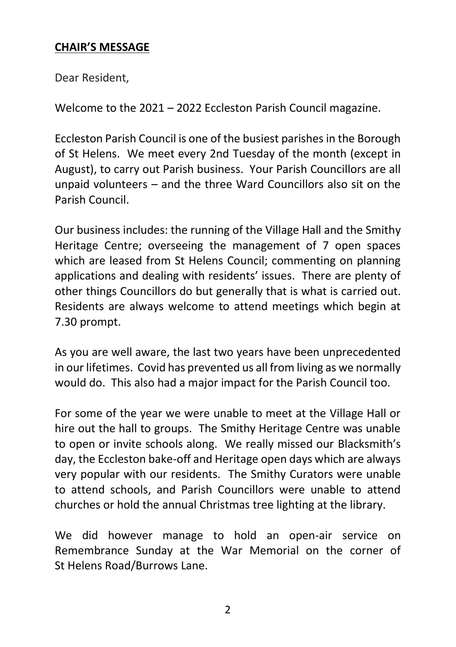# **CHAIR'S MESSAGE**

Dear Resident,

Welcome to the 2021 – 2022 Eccleston Parish Council magazine.

Eccleston Parish Council is one of the busiest parishes in the Borough of St Helens. We meet every 2nd Tuesday of the month (except in August), to carry out Parish business. Your Parish Councillors are all unpaid volunteers – and the three Ward Councillors also sit on the Parish Council.

Our business includes: the running of the Village Hall and the Smithy Heritage Centre; overseeing the management of 7 open spaces which are leased from St Helens Council; commenting on planning applications and dealing with residents' issues. There are plenty of other things Councillors do but generally that is what is carried out. Residents are always welcome to attend meetings which begin at 7.30 prompt.

As you are well aware, the last two years have been unprecedented in our lifetimes. Covid has prevented us all from living as we normally would do. This also had a major impact for the Parish Council too.

For some of the year we were unable to meet at the Village Hall or hire out the hall to groups. The Smithy Heritage Centre was unable to open or invite schools along. We really missed our Blacksmith's day, the Eccleston bake-off and Heritage open days which are always very popular with our residents. The Smithy Curators were unable to attend schools, and Parish Councillors were unable to attend churches or hold the annual Christmas tree lighting at the library.

We did however manage to hold an open-air service on Remembrance Sunday at the War Memorial on the corner of St Helens Road/Burrows Lane.

 $\overline{\phantom{a}}$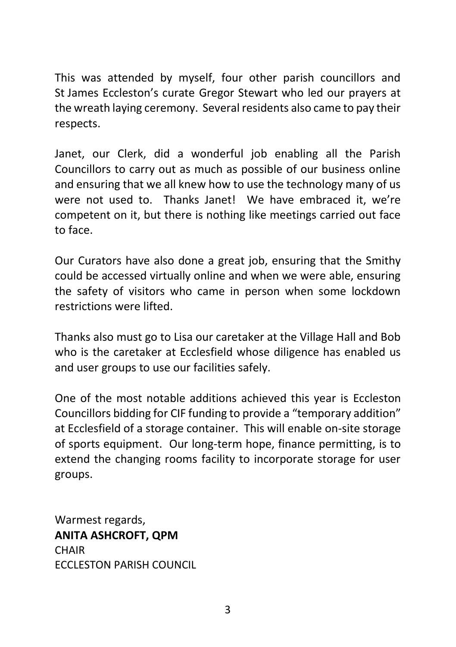This was attended by myself, four other parish councillors and St James Eccleston's curate Gregor Stewart who led our prayers at the wreath laying ceremony. Several residents also came to pay their respects.

Janet, our Clerk, did a wonderful job enabling all the Parish Councillors to carry out as much as possible of our business online and ensuring that we all knew how to use the technology many of us were not used to. Thanks Janet! We have embraced it, we're competent on it, but there is nothing like meetings carried out face to face.

Our Curators have also done a great job, ensuring that the Smithy could be accessed virtually online and when we were able, ensuring the safety of visitors who came in person when some lockdown restrictions were lifted.

Thanks also must go to Lisa our caretaker at the Village Hall and Bob who is the caretaker at Ecclesfield whose diligence has enabled us and user groups to use our facilities safely.

One of the most notable additions achieved this year is Eccleston Councillors bidding for CIF funding to provide a "temporary addition" at Ecclesfield of a storage container. This will enable on-site storage of sports equipment. Our long-term hope, finance permitting, is to extend the changing rooms facility to incorporate storage for user groups.

Warmest regards, **ANITA ASHCROFT, QPM CHAIR** ECCLESTON PARISH COUNCIL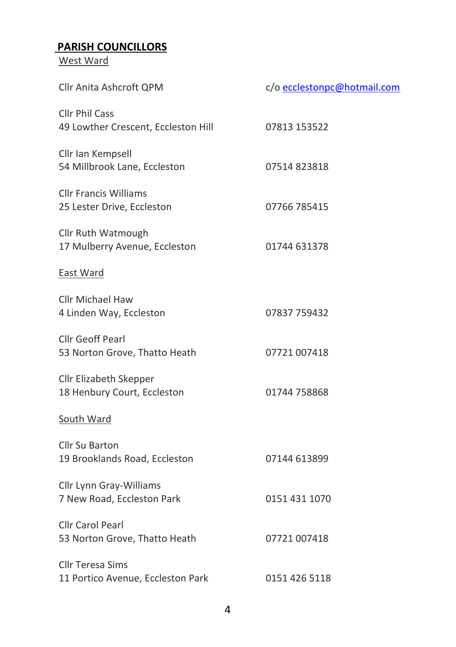# **PARISH COUNCILLORS**

West Ward

| Cllr Anita Ashcroft QPM                                      | c/o ecclestonpc@hotmail.com |
|--------------------------------------------------------------|-----------------------------|
| Cllr Phil Cass<br>49 Lowther Crescent, Eccleston Hill        | 07813 153522                |
| Cllr Ian Kempsell<br>54 Millbrook Lane, Eccleston            | 07514823818                 |
| <b>Cllr Francis Williams</b><br>25 Lester Drive, Eccleston   | 07766 785415                |
| Cllr Ruth Watmough<br>17 Mulberry Avenue, Eccleston          | 01744 631378                |
| East Ward                                                    |                             |
| Cllr Michael Haw<br>4 Linden Way, Eccleston                  | 07837 759432                |
| Cllr Geoff Pearl<br>53 Norton Grove, Thatto Heath            | 07721 007418                |
| Cllr Elizabeth Skepper<br>18 Henbury Court, Eccleston        | 01744 758868                |
| South Ward                                                   |                             |
| Cllr Su Barton<br>19 Brooklands Road, Eccleston              | 07144 613899                |
| Cllr Lynn Gray-Williams<br>7 New Road, Eccleston Park        | 0151 431 1070               |
| <b>Cllr Carol Pearl</b><br>53 Norton Grove, Thatto Heath     | 07721 007418                |
| <b>Cllr Teresa Sims</b><br>11 Portico Avenue, Eccleston Park | 0151 426 5118               |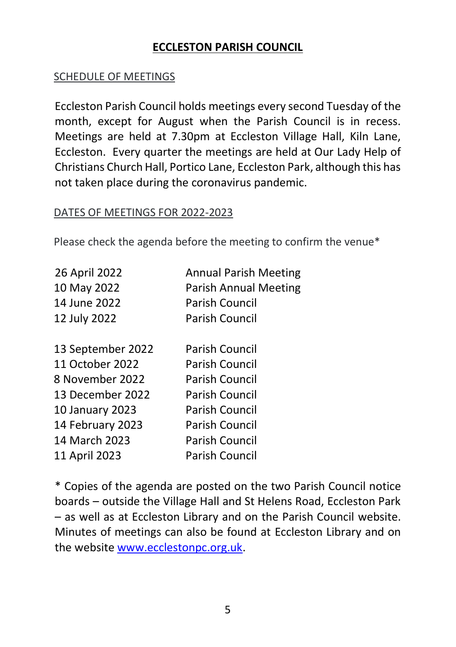# **ECCLESTON PARISH COUNCIL**

#### SCHEDULE OF MEETINGS

Eccleston Parish Council holds meetings every second Tuesday of the month, except for August when the Parish Council is in recess. Meetings are held at 7.30pm at Eccleston Village Hall, Kiln Lane, Eccleston. Every quarter the meetings are held at Our Lady Help of Christians Church Hall, Portico Lane, Eccleston Park, although this has not taken place during the coronavirus pandemic.

#### DATES OF MEETINGS FOR 2022-2023

Please check the agenda before the meeting to confirm the venue\*

| 26 April 2022     | <b>Annual Parish Meeting</b> |
|-------------------|------------------------------|
| 10 May 2022       | <b>Parish Annual Meeting</b> |
| 14 June 2022      | Parish Council               |
| 12 July 2022      | Parish Council               |
|                   |                              |
| 13 September 2022 | Parish Council               |
| 11 October 2022   | Parish Council               |
| 8 November 2022   | Parish Council               |
| 13 December 2022  | Parish Council               |
| 10 January 2023   | Parish Council               |
| 14 February 2023  | Parish Council               |
| 14 March 2023     | Parish Council               |
| 11 April 2023     | Parish Council               |

\* Copies of the agenda are posted on the two Parish Council notice boards – outside the Village Hall and St Helens Road, Eccleston Park – as well as at Eccleston Library and on the Parish Council website. Minutes of meetings can also be found at Eccleston Library and on the website [www.ecclestonpc.org.uk.](http://www.ecclestonpc.org.uk/)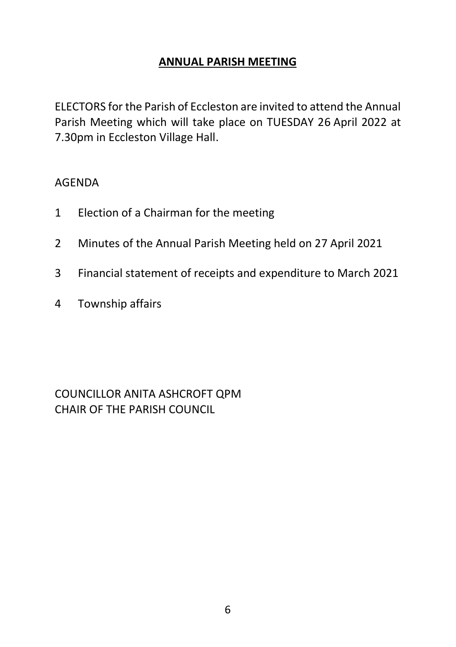#### **ANNUAL PARISH MEETING**

ELECTORS for the Parish of Eccleston are invited to attend the Annual Parish Meeting which will take place on TUESDAY 26 April 2022 at 7.30pm in Eccleston Village Hall.

#### AGENDA

- 1 Election of a Chairman for the meeting
- 2 Minutes of the Annual Parish Meeting held on 27 April 2021
- 3 Financial statement of receipts and expenditure to March 2021
- 4 Township affairs

COUNCILLOR ANITA ASHCROFT QPM CHAIR OF THE PARISH COUNCIL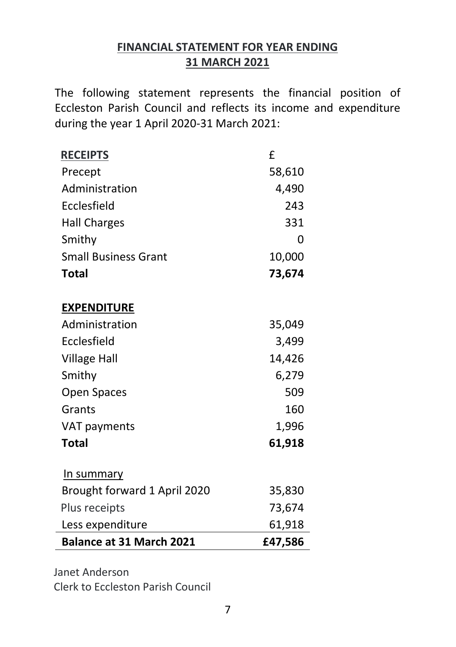# **FINANCIAL STATEMENT FOR YEAR ENDING 31 MARCH 2021**

The following statement represents the financial position of Eccleston Parish Council and reflects its income and expenditure during the year 1 April 2020-31 March 2021:

| <b>RECEIPTS</b>                 | £       |
|---------------------------------|---------|
| Precept                         | 58,610  |
| Administration                  | 4,490   |
| Ecclesfield                     | 243     |
| <b>Hall Charges</b>             | 331     |
| Smithy                          | 0       |
| <b>Small Business Grant</b>     | 10,000  |
| Total                           | 73,674  |
| <b>EXPENDITURE</b>              |         |
| Administration                  | 35,049  |
| Ecclesfield                     | 3,499   |
| <b>Village Hall</b>             | 14,426  |
| Smithy                          | 6,279   |
| Open Spaces                     | 509     |
| Grants                          | 160     |
| VAT payments                    | 1,996   |
| <b>Total</b>                    | 61,918  |
| In summary                      |         |
| Brought forward 1 April 2020    | 35,830  |
| Plus receipts                   | 73,674  |
| Less expenditure                | 61,918  |
| <b>Balance at 31 March 2021</b> | £47,586 |

Janet Anderson Clerk to Eccleston Parish Council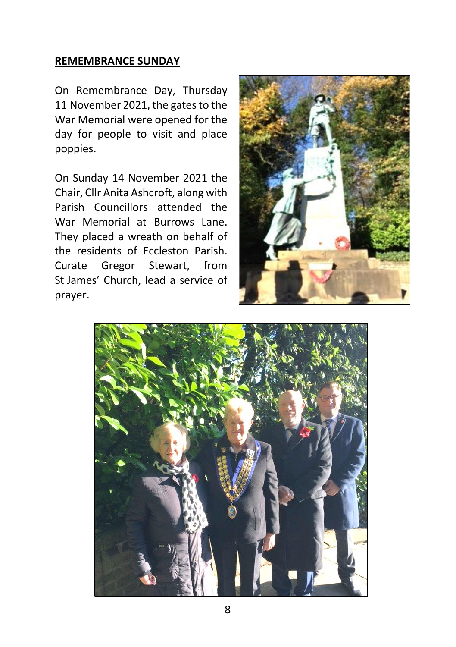#### **REMEMBRANCE SUNDAY**

On Remembrance Day, Thursday 11 November 2021, the gates to the War Memorial were opened for the day for people to visit and place poppies.

On Sunday 14 November 2021 the Chair, Cllr Anita Ashcroft, along with Parish Councillors attended the War Memorial at Burrows Lane. They placed a wreath on behalf of the residents of Eccleston Parish. Curate Gregor Stewart, from St James' Church, lead a service of prayer.



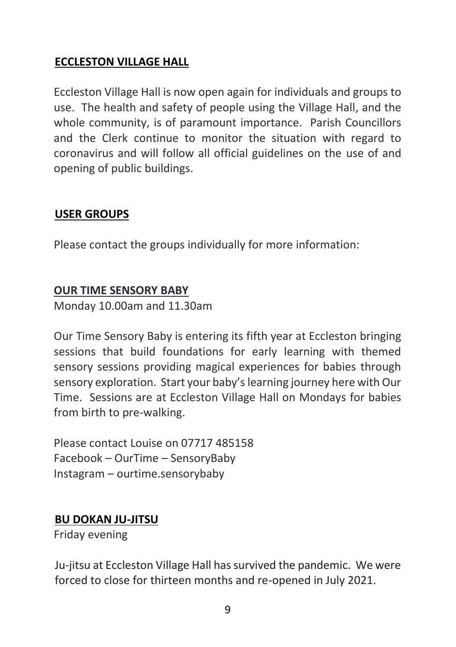# **ECCLESTON VILLAGE HALL**

Eccleston Village Hall is now open again for individuals and groups to use. The health and safety of people using the Village Hall, and the whole community, is of paramount importance. Parish Councillors and the Clerk continue to monitor the situation with regard to coronavirus and will follow all official guidelines on the use of and opening of public buildings.

# **USER GROUPS**

Please contact the groups individually for more information:

#### **OUR TIME SENSORY BABY**

Monday 10.00am and 11.30am

Our Time Sensory Baby is entering its fifth year at Eccleston bringing sessions that build foundations for early learning with themed sensory sessions providing magical experiences for babies through sensory exploration. Start your baby's learning journey here with Our Time. Sessions are at Eccleston Village Hall on Mondays for babies from birth to pre-walking.

Please contact Louise on 07717 485158 Facebook – OurTime – SensoryBaby Instagram – ourtime.sensorybaby

# **BU DOKAN JU-JITSU**

Friday evening

Ju-jitsu at Eccleston Village Hall has survived the pandemic. We were forced to close for thirteen months and re-opened in July 2021.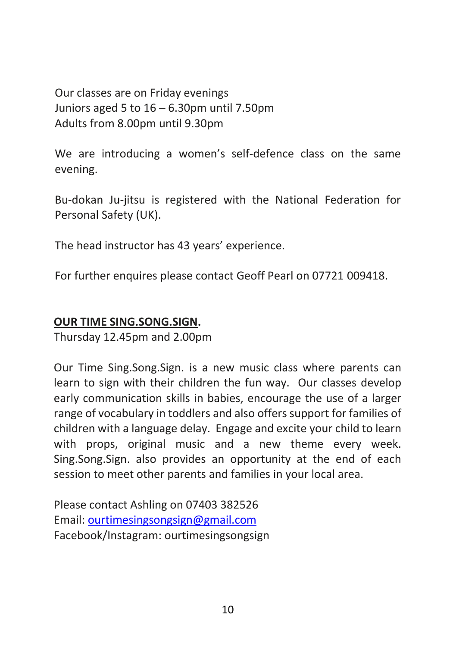Our classes are on Friday evenings Juniors aged 5 to 16 – 6.30pm until 7.50pm Adults from 8.00pm until 9.30pm

We are introducing a women's self-defence class on the same evening.

Bu-dokan Ju-jitsu is registered with the National Federation for Personal Safety (UK).

The head instructor has 43 years' experience.

For further enquires please contact Geoff Pearl on 07721 009418.

### **OUR TIME SING.SONG.SIGN.**

Thursday 12.45pm and 2.00pm

Our Time Sing.Song.Sign. is a new music class where parents can learn to sign with their children the fun way. Our classes develop early communication skills in babies, encourage the use of a larger range of vocabulary in toddlers and also offers support for families of children with a language delay. Engage and excite your child to learn with props, original music and a new theme every week. Sing.Song.Sign. also provides an opportunity at the end of each session to meet other parents and families in your local area.

Please contact Ashling on 07403 382526 Email: [ourtimesingsongsign@gmail.com](mailto:ourtimesingsongsign@gmail.com) Facebook/Instagram: ourtimesingsongsign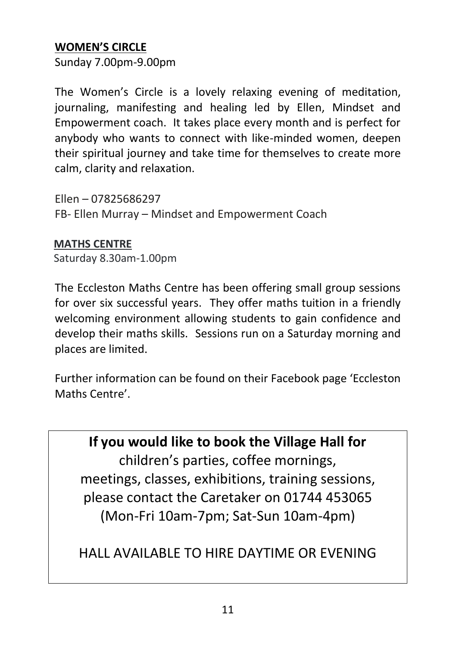# **WOMEN'S CIRCLE**

Sunday 7.00pm-9.00pm

The Women's Circle is a lovely relaxing evening of meditation, journaling, manifesting and healing led by Ellen, Mindset and Empowerment coach. It takes place every month and is perfect for anybody who wants to connect with like-minded women, deepen their spiritual journey and take time for themselves to create more calm, clarity and relaxation.

Ellen – 07825686297 FB- Ellen Murray – Mindset and Empowerment Coach

#### **MATHS CENTRE**

Saturday 8.30am-1.00pm

The Eccleston Maths Centre has been offering small group sessions for over six successful years. They offer maths tuition in a friendly welcoming environment allowing students to gain confidence and develop their maths skills. Sessions run on a Saturday morning and places are limited.

Further information can be found on their Facebook page 'Eccleston Maths Centre'.

**If you would like to book the Village Hall for**  children's parties, coffee mornings, meetings, classes, exhibitions, training sessions, please contact the Caretaker on 01744 453065 (Mon-Fri 10am-7pm; Sat-Sun 10am-4pm)

HALL AVAILABLE TO HIRE DAYTIME OR EVENING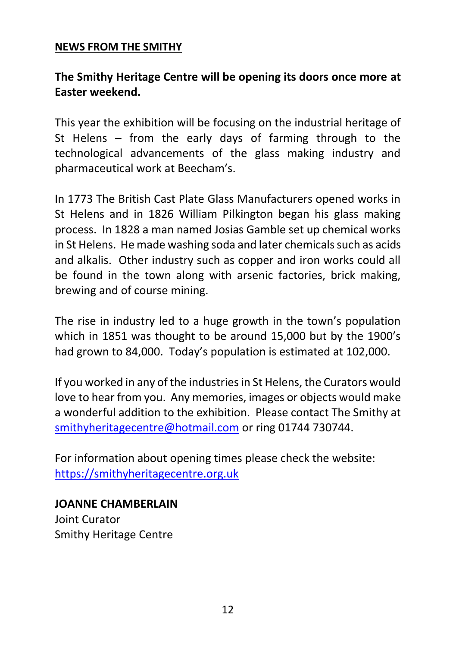#### **NEWS FROM THE SMITHY**

# **The Smithy Heritage Centre will be opening its doors once more at Easter weekend.**

This year the exhibition will be focusing on the industrial heritage of St Helens – from the early days of farming through to the technological advancements of the glass making industry and pharmaceutical work at Beecham's.

In 1773 The British Cast Plate Glass Manufacturers opened works in St Helens and in 1826 William Pilkington began his glass making process. In 1828 a man named Josias Gamble set up chemical works in St Helens. He made washing soda and later chemicals such as acids and alkalis. Other industry such as copper and iron works could all be found in the town along with arsenic factories, brick making, brewing and of course mining.

The rise in industry led to a huge growth in the town's population which in 1851 was thought to be around 15,000 but by the 1900's had grown to 84,000. Today's population is estimated at 102,000.

If you worked in any of the industries in St Helens, the Curators would love to hear from you. Any memories, images or objects would make a wonderful addition to the exhibition. Please contact The Smithy at [smithyheritagecentre@hotmail.com](mailto:smithyheritagecentre@hotmail.com) or ring 01744 730744.

For information about opening times please check the website: [https://smithyheritagecentre.org.uk](https://smithyheritagecentre.org.uk/)

**JOANNE CHAMBERLAIN**  Joint Curator Smithy Heritage Centre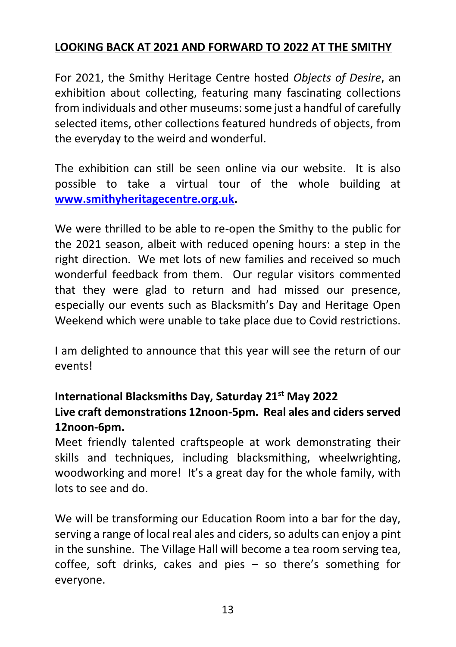# **LOOKING BACK AT 2021 AND FORWARD TO 2022 AT THE SMITHY**

For 2021, the Smithy Heritage Centre hosted *Objects of Desire*, an exhibition about collecting, featuring many fascinating collections from individuals and other museums: some just a handful of carefully selected items, other collections featured hundreds of objects, from the everyday to the weird and wonderful.

The exhibition can still be seen online via our website. It is also possible to take a virtual tour of the whole building at **[www.smithyheritagecentre.org.uk.](http://www.smithyheritagecentre.org.uk/)**

We were thrilled to be able to re-open the Smithy to the public for the 2021 season, albeit with reduced opening hours: a step in the right direction. We met lots of new families and received so much wonderful feedback from them. Our regular visitors commented that they were glad to return and had missed our presence, especially our events such as Blacksmith's Day and Heritage Open Weekend which were unable to take place due to Covid restrictions.

I am delighted to announce that this year will see the return of our events!

# **International Blacksmiths Day, Saturday 21st May 2022 Live craft demonstrations 12noon-5pm. Real ales and ciders served 12noon-6pm.**

Meet friendly talented craftspeople at work demonstrating their skills and techniques, including blacksmithing, wheelwrighting, woodworking and more! It's a great day for the whole family, with lots to see and do.

We will be transforming our Education Room into a bar for the day, serving a range of local real ales and ciders, so adults can enjoy a pint in the sunshine. The Village Hall will become a tea room serving tea, coffee, soft drinks, cakes and pies – so there's something for everyone.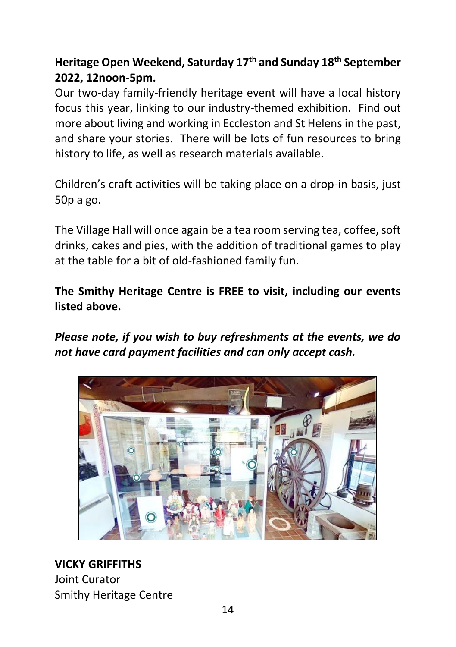# **Heritage Open Weekend, Saturday 17th and Sunday 18th September 2022, 12noon-5pm.**

Our two-day family-friendly heritage event will have a local history focus this year, linking to our industry-themed exhibition. Find out more about living and working in Eccleston and St Helens in the past, and share your stories. There will be lots of fun resources to bring history to life, as well as research materials available.

Children's craft activities will be taking place on a drop-in basis, just 50p a go.

The Village Hall will once again be a tea room serving tea, coffee, soft drinks, cakes and pies, with the addition of traditional games to play at the table for a bit of old-fashioned family fun.

**The Smithy Heritage Centre is FREE to visit, including our events listed above.** 

*Please note, if you wish to buy refreshments at the events, we do not have card payment facilities and can only accept cash.*



**VICKY GRIFFITHS** Joint Curator Smithy Heritage Centre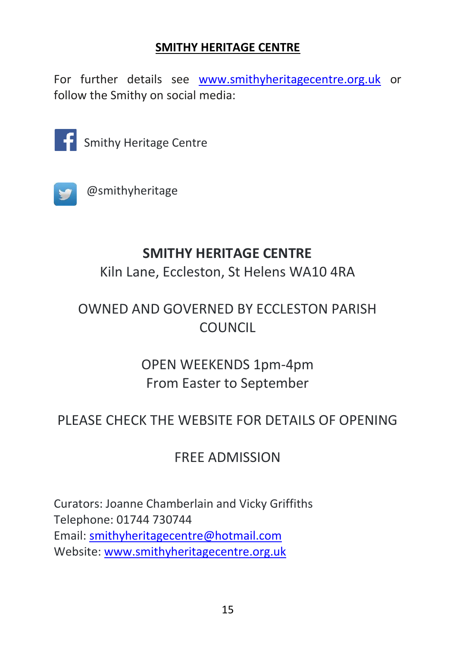# **SMITHY HERITAGE CENTRE**

For further details see [www.smithyheritagecentre.org.uk](http://www.smithyheritagecentre.org.uk/) or follow the Smithy on social media:



Smithy Heritage Centre



@smithyheritage

# **SMITHY HERITAGE CENTRE**

Kiln Lane, Eccleston, St Helens WA10 4RA

# OWNED AND GOVERNED BY ECCLESTON PARISH COUNCIL

# OPEN WEEKENDS 1pm-4pm From Easter to September

# PLEASE CHECK THE WEBSITE FOR DETAILS OF OPENING

# FREE ADMISSION

Curators: Joanne Chamberlain and Vicky Griffiths Telephone: 01744 730744 Email: [smithyheritagecentre@hotmail.com](mailto:smithyheritagecentre@hotmail.com) Website: [www.smithyheritagecentre.org.uk](http://www.smithyheritagecentre.org.uk/)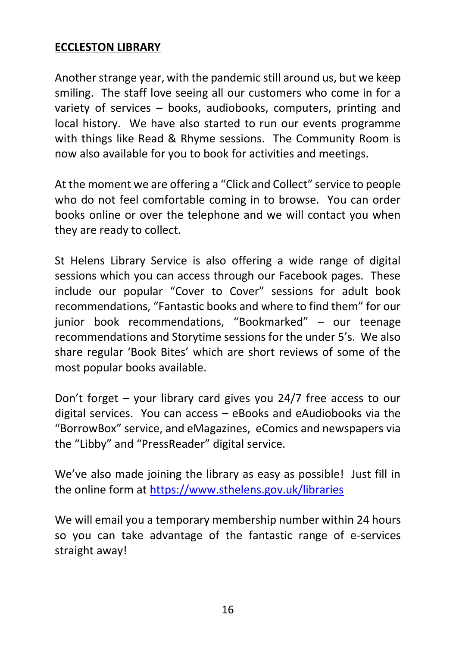#### **ECCLESTON LIBRARY**

Another strange year, with the pandemic still around us, but we keep smiling. The staff love seeing all our customers who come in for a variety of services – books, audiobooks, computers, printing and local history. We have also started to run our events programme with things like Read & Rhyme sessions. The Community Room is now also available for you to book for activities and meetings.

At the moment we are offering a "Click and Collect" service to people who do not feel comfortable coming in to browse. You can order books online or over the telephone and we will contact you when they are ready to collect.

St Helens Library Service is also offering a wide range of digital sessions which you can access through our Facebook pages. These include our popular "Cover to Cover" sessions for adult book recommendations, "Fantastic books and where to find them" for our junior book recommendations, "Bookmarked" – our teenage recommendations and Storytime sessions for the under 5's. We also share regular 'Book Bites' which are short reviews of some of the most popular books available.

Don't forget – your library card gives you 24/7 free access to our digital services. You can access – eBooks and eAudiobooks via the "BorrowBox" service, and eMagazines, eComics and newspapers via the "Libby" and "PressReader" digital service.

We've also made joining the library as easy as possible! Just fill in the online form a[t https://www.sthelens.gov.uk/libraries](https://www.sthelens.gov.uk/libraries)

We will email you a temporary membership number within 24 hours so you can take advantage of the fantastic range of e-services straight away!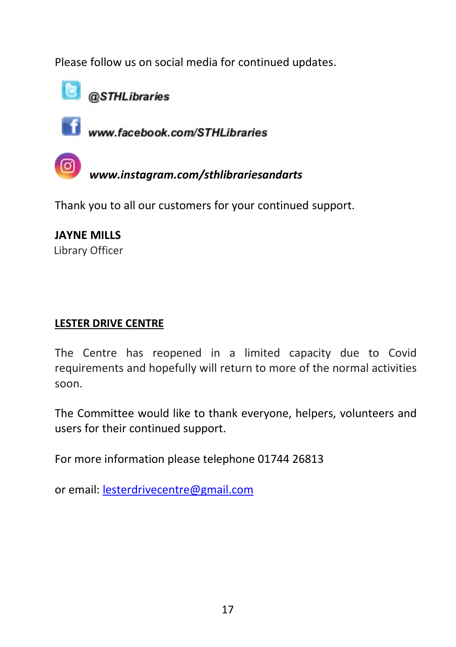Please follow us on social media for continued updates.



**B** @STHLibraries



www.facebook.com/STHLibraries

*www.instagram.com/sthlibrariesandarts*

Thank you to all our customers for your continued support.

**JAYNE MILLS** Library Officer

# **LESTER DRIVE CENTRE**

The Centre has reopened in a limited capacity due to Covid requirements and hopefully will return to more of the normal activities soon.

The Committee would like to thank everyone, helpers, volunteers and users for their continued support.

For more information please telephone 01744 26813

or email: [lesterdrivecentre@gmail.com](mailto:lesterdrivecentre@gmail.com)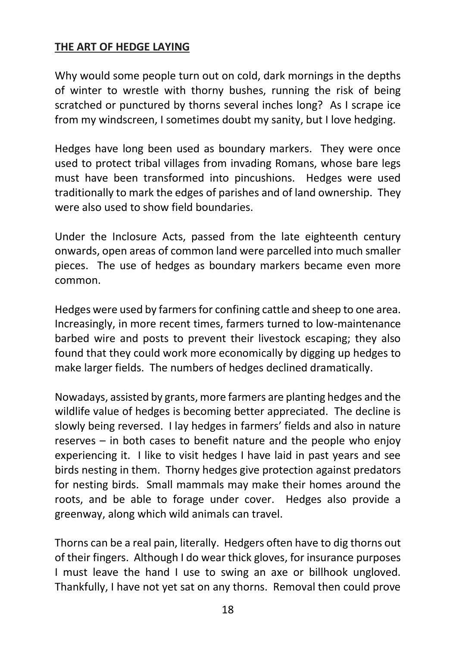#### **THE ART OF HEDGE LAYING**

Why would some people turn out on cold, dark mornings in the depths of winter to wrestle with thorny bushes, running the risk of being scratched or punctured by thorns several inches long? As I scrape ice from my windscreen, I sometimes doubt my sanity, but I love hedging.

Hedges have long been used as boundary markers. They were once used to protect tribal villages from invading Romans, whose bare legs must have been transformed into pincushions. Hedges were used traditionally to mark the edges of parishes and of land ownership. They were also used to show field boundaries.

Under the Inclosure Acts, passed from the late eighteenth century onwards, open areas of common land were parcelled into much smaller pieces. The use of hedges as boundary markers became even more common.

Hedges were used by farmers for confining cattle and sheep to one area. Increasingly, in more recent times, farmers turned to low-maintenance barbed wire and posts to prevent their livestock escaping; they also found that they could work more economically by digging up hedges to make larger fields. The numbers of hedges declined dramatically.

Nowadays, assisted by grants, more farmers are planting hedges and the wildlife value of hedges is becoming better appreciated. The decline is slowly being reversed. I lay hedges in farmers' fields and also in nature reserves – in both cases to benefit nature and the people who enjoy experiencing it. I like to visit hedges I have laid in past years and see birds nesting in them. Thorny hedges give protection against predators for nesting birds. Small mammals may make their homes around the roots, and be able to forage under cover. Hedges also provide a greenway, along which wild animals can travel.

Thorns can be a real pain, literally. Hedgers often have to dig thorns out of their fingers. Although I do wear thick gloves, for insurance purposes I must leave the hand I use to swing an axe or billhook ungloved. Thankfully, I have not yet sat on any thorns. Removal then could prove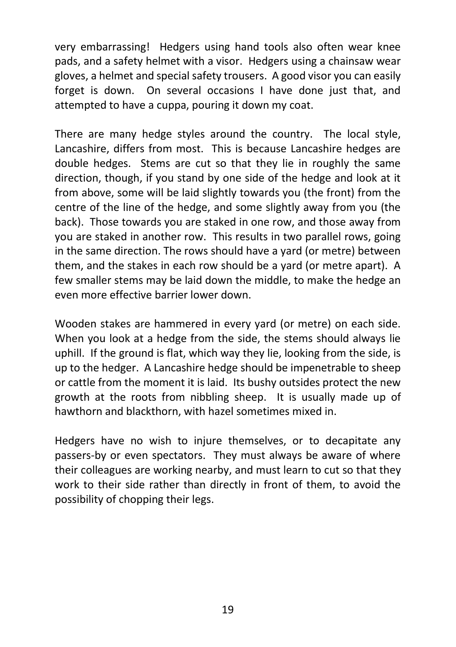very embarrassing! Hedgers using hand tools also often wear knee pads, and a safety helmet with a visor. Hedgers using a chainsaw wear gloves, a helmet and special safety trousers. A good visor you can easily forget is down. On several occasions I have done just that, and attempted to have a cuppa, pouring it down my coat.

There are many hedge styles around the country. The local style, Lancashire, differs from most. This is because Lancashire hedges are double hedges. Stems are cut so that they lie in roughly the same direction, though, if you stand by one side of the hedge and look at it from above, some will be laid slightly towards you (the front) from the centre of the line of the hedge, and some slightly away from you (the back). Those towards you are staked in one row, and those away from you are staked in another row. This results in two parallel rows, going in the same direction. The rows should have a yard (or metre) between them, and the stakes in each row should be a yard (or metre apart). A few smaller stems may be laid down the middle, to make the hedge an even more effective barrier lower down.

Wooden stakes are hammered in every yard (or metre) on each side. When you look at a hedge from the side, the stems should always lie uphill. If the ground is flat, which way they lie, looking from the side, is up to the hedger. A Lancashire hedge should be impenetrable to sheep or cattle from the moment it is laid. Its bushy outsides protect the new growth at the roots from nibbling sheep. It is usually made up of hawthorn and blackthorn, with hazel sometimes mixed in.

Hedgers have no wish to injure themselves, or to decapitate any passers-by or even spectators. They must always be aware of where their colleagues are working nearby, and must learn to cut so that they work to their side rather than directly in front of them, to avoid the possibility of chopping their legs.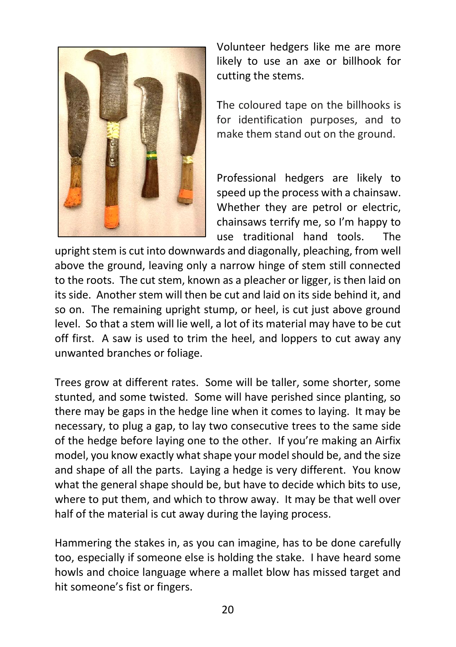

Volunteer hedgers like me are more likely to use an axe or billhook for cutting the stems.

The coloured tape on the billhooks is for identification purposes, and to make them stand out on the ground.

Professional hedgers are likely to speed up the process with a chainsaw. Whether they are petrol or electric, chainsaws terrify me, so I'm happy to use traditional hand tools. The

upright stem is cut into downwards and diagonally, pleaching, from well above the ground, leaving only a narrow hinge of stem still connected to the roots. The cut stem, known as a pleacher or ligger, is then laid on its side. Another stem will then be cut and laid on its side behind it, and so on. The remaining upright stump, or heel, is cut just above ground level. So that a stem will lie well, a lot of its material may have to be cut off first. A saw is used to trim the heel, and loppers to cut away any unwanted branches or foliage.

Trees grow at different rates. Some will be taller, some shorter, some stunted, and some twisted. Some will have perished since planting, so there may be gaps in the hedge line when it comes to laying. It may be necessary, to plug a gap, to lay two consecutive trees to the same side of the hedge before laying one to the other. If you're making an Airfix model, you know exactly what shape your model should be, and the size and shape of all the parts. Laying a hedge is very different. You know what the general shape should be, but have to decide which bits to use. where to put them, and which to throw away. It may be that well over half of the material is cut away during the laying process.

Hammering the stakes in, as you can imagine, has to be done carefully too, especially if someone else is holding the stake. I have heard some howls and choice language where a mallet blow has missed target and hit someone's fist or fingers.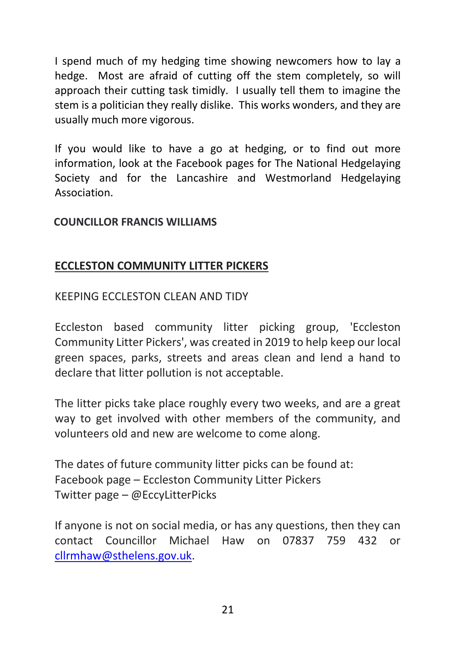I spend much of my hedging time showing newcomers how to lay a hedge. Most are afraid of cutting off the stem completely, so will approach their cutting task timidly. I usually tell them to imagine the stem is a politician they really dislike. This works wonders, and they are usually much more vigorous.

If you would like to have a go at hedging, or to find out more information, look at the Facebook pages for The National Hedgelaying Society and for the Lancashire and Westmorland Hedgelaying Association.

#### **COUNCILLOR FRANCIS WILLIAMS**

#### **ECCLESTON COMMUNITY LITTER PICKERS**

#### KEEPING ECCLESTON CLEAN AND TIDY

Eccleston based community litter picking group, 'Eccleston Community Litter Pickers', was created in 2019 to help keep our local green spaces, parks, streets and areas clean and lend a hand to declare that litter pollution is not acceptable.

The litter picks take place roughly every two weeks, and are a great way to get involved with other members of the community, and volunteers old and new are welcome to come along.

The dates of future community litter picks can be found at: Facebook page – Eccleston Community Litter Pickers Twitter page – @EccyLitterPicks

If anyone is not on social media, or has any questions, then they can contact Councillor Michael Haw on 07837 759 432 or [cllrmhaw@sthelens.gov.uk.](mailto:cllrmhaw@sthelens.gov.uk)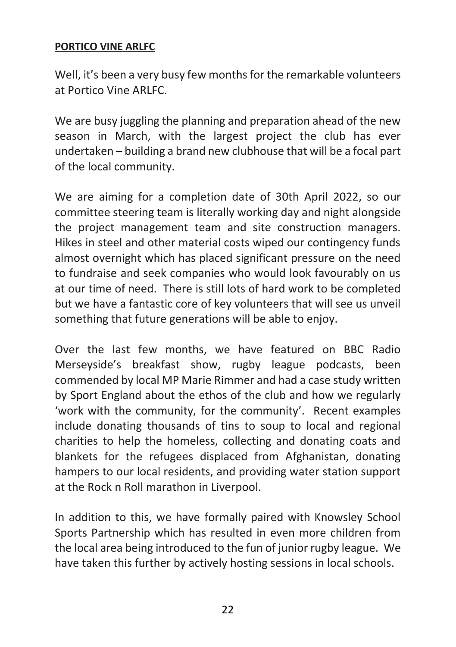#### **PORTICO VINE ARLFC**

Well, it's been a very busy few months for the remarkable volunteers at Portico Vine ARLFC.

We are busy juggling the planning and preparation ahead of the new season in March, with the largest project the club has ever undertaken – building a brand new clubhouse that will be a focal part of the local community.

We are aiming for a completion date of 30th April 2022, so our committee steering team is literally working day and night alongside the project management team and site construction managers. Hikes in steel and other material costs wiped our contingency funds almost overnight which has placed significant pressure on the need to fundraise and seek companies who would look favourably on us at our time of need. There is still lots of hard work to be completed but we have a fantastic core of key volunteers that will see us unveil something that future generations will be able to enjoy.

Over the last few months, we have featured on BBC Radio Merseyside's breakfast show, rugby league podcasts, been commended by local MP Marie Rimmer and had a case study written by Sport England about the ethos of the club and how we regularly 'work with the community, for the community'. Recent examples include donating thousands of tins to soup to local and regional charities to help the homeless, collecting and donating coats and blankets for the refugees displaced from Afghanistan, donating hampers to our local residents, and providing water station support at the Rock n Roll marathon in Liverpool.

In addition to this, we have formally paired with Knowsley School Sports Partnership which has resulted in even more children from the local area being introduced to the fun of junior rugby league. We have taken this further by actively hosting sessions in local schools.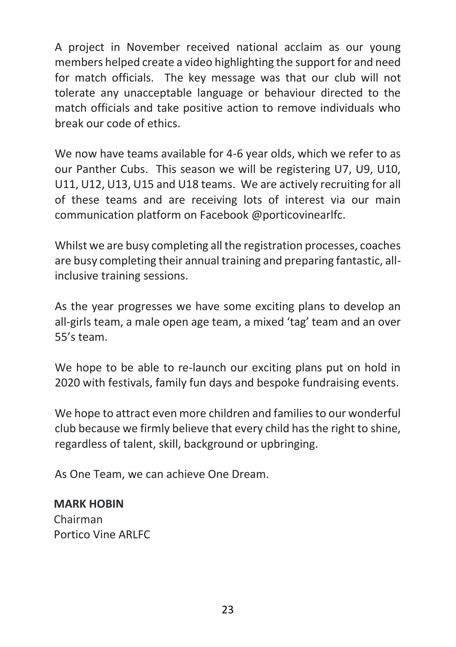A project in November received national acclaim as our young members helped create a video highlighting the support for and need for match officials. The key message was that our club will not tolerate any unacceptable language or behaviour directed to the match officials and take positive action to remove individuals who break our code of ethics.

We now have teams available for 4-6 year olds, which we refer to as our Panther Cubs. This season we will be registering U7, U9, U10, U11, U12, U13, U15 and U18 teams. We are actively recruiting for all of these teams and are receiving lots of interest via our main communication platform on Facebook @porticovinearlfc.

Whilst we are busy completing all the registration processes, coaches are busy completing their annual training and preparing fantastic, allinclusive training sessions.

As the year progresses we have some exciting plans to develop an all-girls team, a male open age team, a mixed 'tag' team and an over 55's team.

We hope to be able to re-launch our exciting plans put on hold in 2020 with festivals, family fun days and bespoke fundraising events.

We hope to attract even more children and families to our wonderful club because we firmly believe that every child has the right to shine, regardless of talent, skill, background or upbringing.

As One Team, we can achieve One Dream.

# **MARK HOBIN** Chairman

Portico Vine ARLFC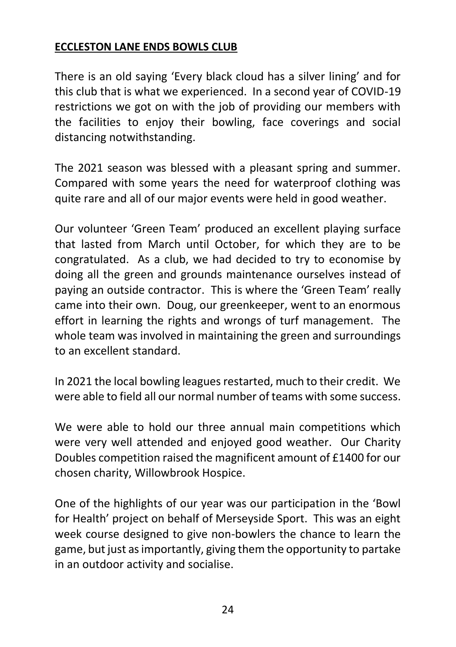# **ECCLESTON LANE ENDS BOWLS CLUB**

There is an old saying 'Every black cloud has a silver lining' and for this club that is what we experienced. In a second year of COVID-19 restrictions we got on with the job of providing our members with the facilities to enjoy their bowling, face coverings and social distancing notwithstanding.

The 2021 season was blessed with a pleasant spring and summer. Compared with some years the need for waterproof clothing was quite rare and all of our major events were held in good weather.

Our volunteer 'Green Team' produced an excellent playing surface that lasted from March until October, for which they are to be congratulated. As a club, we had decided to try to economise by doing all the green and grounds maintenance ourselves instead of paying an outside contractor. This is where the 'Green Team' really came into their own. Doug, our greenkeeper, went to an enormous effort in learning the rights and wrongs of turf management. The whole team was involved in maintaining the green and surroundings to an excellent standard.

In 2021 the local bowling leagues restarted, much to their credit. We were able to field all our normal number of teams with some success.

We were able to hold our three annual main competitions which were very well attended and enjoyed good weather. Our Charity Doubles competition raised the magnificent amount of £1400 for our chosen charity, Willowbrook Hospice.

One of the highlights of our year was our participation in the 'Bowl for Health' project on behalf of Merseyside Sport. This was an eight week course designed to give non-bowlers the chance to learn the game, but just as importantly, giving them the opportunity to partake in an outdoor activity and socialise.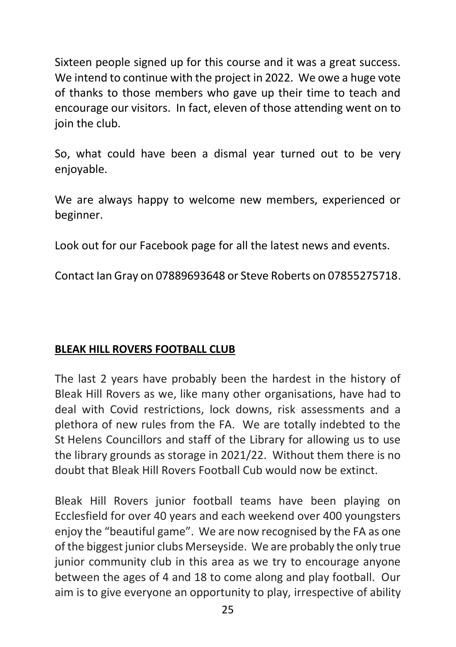Sixteen people signed up for this course and it was a great success. We intend to continue with the project in 2022. We owe a huge vote of thanks to those members who gave up their time to teach and encourage our visitors. In fact, eleven of those attending went on to join the club.

So, what could have been a dismal year turned out to be very enjoyable.

We are always happy to welcome new members, experienced or beginner.

Look out for our Facebook page for all the latest news and events.

Contact Ian Gray on 07889693648 or Steve Roberts on 07855275718.

# **BLEAK HILL ROVERS FOOTBALL CLUB**

The last 2 years have probably been the hardest in the history of Bleak Hill Rovers as we, like many other organisations, have had to deal with Covid restrictions, lock downs, risk assessments and a plethora of new rules from the FA. We are totally indebted to the St Helens Councillors and staff of the Library for allowing us to use the library grounds as storage in 2021/22. Without them there is no doubt that Bleak Hill Rovers Football Cub would now be extinct.

Bleak Hill Rovers junior football teams have been playing on Ecclesfield for over 40 years and each weekend over 400 youngsters enjoy the "beautiful game". We are now recognised by the FA as one of the biggest junior clubs Merseyside. We are probably the only true junior community club in this area as we try to encourage anyone between the ages of 4 and 18 to come along and play football. Our aim is to give everyone an opportunity to play, irrespective of ability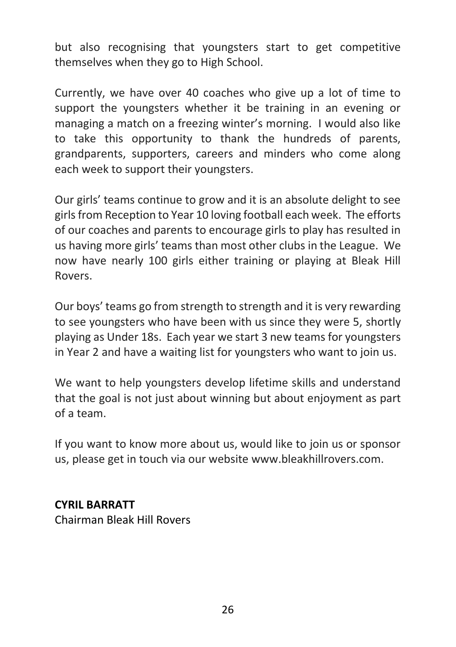but also recognising that youngsters start to get competitive themselves when they go to High School.

Currently, we have over 40 coaches who give up a lot of time to support the youngsters whether it be training in an evening or managing a match on a freezing winter's morning. I would also like to take this opportunity to thank the hundreds of parents, grandparents, supporters, careers and minders who come along each week to support their youngsters.

Our girls' teams continue to grow and it is an absolute delight to see girls from Reception to Year 10 loving football each week. The efforts of our coaches and parents to encourage girls to play has resulted in us having more girls' teams than most other clubs in the League. We now have nearly 100 girls either training or playing at Bleak Hill Rovers.

Our boys' teams go from strength to strength and it is very rewarding to see youngsters who have been with us since they were 5, shortly playing as Under 18s. Each year we start 3 new teams for youngsters in Year 2 and have a waiting list for youngsters who want to join us.

We want to help youngsters develop lifetime skills and understand that the goal is not just about winning but about enjoyment as part of a team.

If you want to know more about us, would like to join us or sponsor us, please get in touch via our website www.bleakhillrovers.com.

# **CYRIL BARRATT**

Chairman Bleak Hill Rovers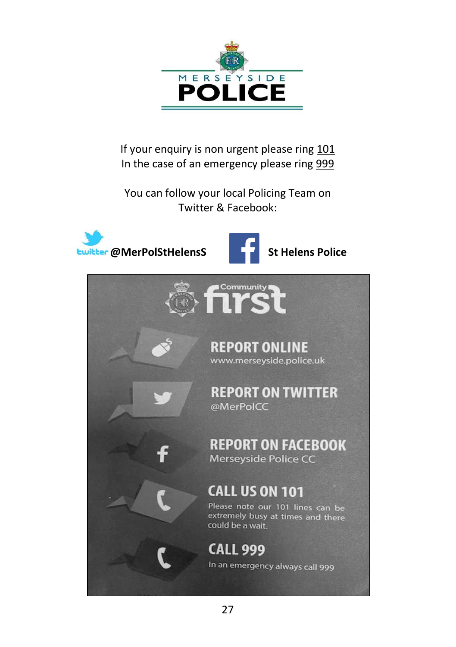

If your enquiry is non urgent please ring 101 In the case of an emergency please ring 999

You can follow your local Policing Team on Twitter & Facebook:

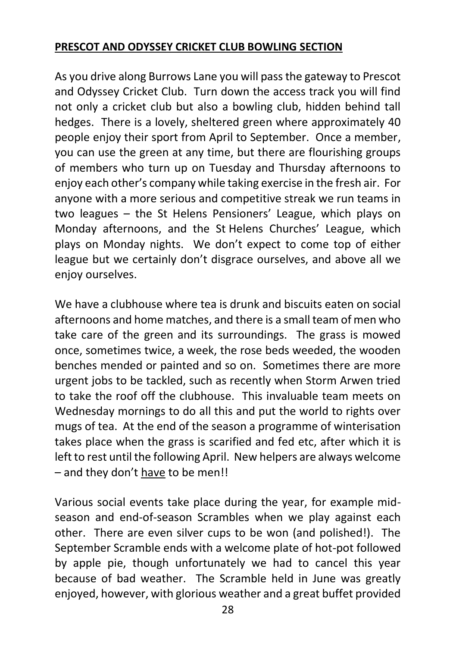# **PRESCOT AND ODYSSEY CRICKET CLUB BOWLING SECTION**

As you drive along Burrows Lane you will pass the gateway to Prescot and Odyssey Cricket Club. Turn down the access track you will find not only a cricket club but also a bowling club, hidden behind tall hedges. There is a lovely, sheltered green where approximately 40 people enjoy their sport from April to September. Once a member, you can use the green at any time, but there are flourishing groups of members who turn up on Tuesday and Thursday afternoons to enjoy each other's company while taking exercise in the fresh air. For anyone with a more serious and competitive streak we run teams in two leagues – the St Helens Pensioners' League, which plays on Monday afternoons, and the St Helens Churches' League, which plays on Monday nights. We don't expect to come top of either league but we certainly don't disgrace ourselves, and above all we enjoy ourselves.

We have a clubhouse where tea is drunk and biscuits eaten on social afternoons and home matches, and there is a small team of men who take care of the green and its surroundings. The grass is mowed once, sometimes twice, a week, the rose beds weeded, the wooden benches mended or painted and so on. Sometimes there are more urgent jobs to be tackled, such as recently when Storm Arwen tried to take the roof off the clubhouse. This invaluable team meets on Wednesday mornings to do all this and put the world to rights over mugs of tea. At the end of the season a programme of winterisation takes place when the grass is scarified and fed etc, after which it is left to rest until the following April. New helpers are always welcome – and they don't have to be men!!

Various social events take place during the year, for example midseason and end-of-season Scrambles when we play against each other. There are even silver cups to be won (and polished!). The September Scramble ends with a welcome plate of hot-pot followed by apple pie, though unfortunately we had to cancel this year because of bad weather. The Scramble held in June was greatly enjoyed, however, with glorious weather and a great buffet provided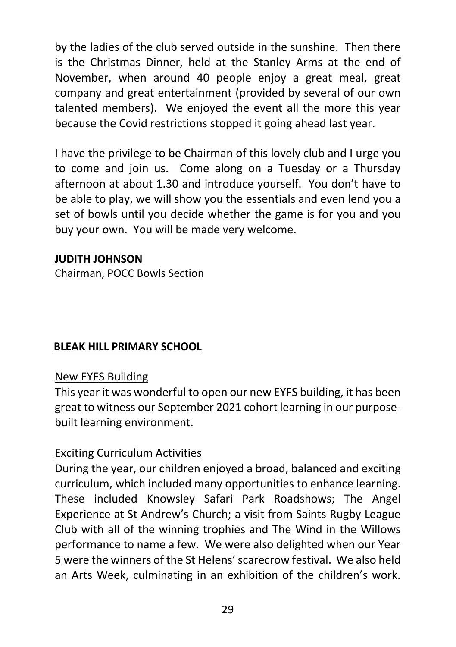by the ladies of the club served outside in the sunshine. Then there is the Christmas Dinner, held at the Stanley Arms at the end of November, when around 40 people enjoy a great meal, great company and great entertainment (provided by several of our own talented members). We enjoyed the event all the more this year because the Covid restrictions stopped it going ahead last year.

I have the privilege to be Chairman of this lovely club and I urge you to come and join us. Come along on a Tuesday or a Thursday afternoon at about 1.30 and introduce yourself. You don't have to be able to play, we will show you the essentials and even lend you a set of bowls until you decide whether the game is for you and you buy your own. You will be made very welcome.

#### **JUDITH JOHNSON**

Chairman, POCC Bowls Section

# **BLEAK HILL PRIMARY SCHOOL**

#### New EYFS Building

This year it was wonderful to open our new EYFS building, it has been great to witness our September 2021 cohort learning in our purposebuilt learning environment.

#### Exciting Curriculum Activities

During the year, our children enjoyed a broad, balanced and exciting curriculum, which included many opportunities to enhance learning. These included Knowsley Safari Park Roadshows; The Angel Experience at St Andrew's Church; a visit from Saints Rugby League Club with all of the winning trophies and The Wind in the Willows performance to name a few. We were also delighted when our Year 5 were the winners of the St Helens' scarecrow festival. We also held an Arts Week, culminating in an exhibition of the children's work.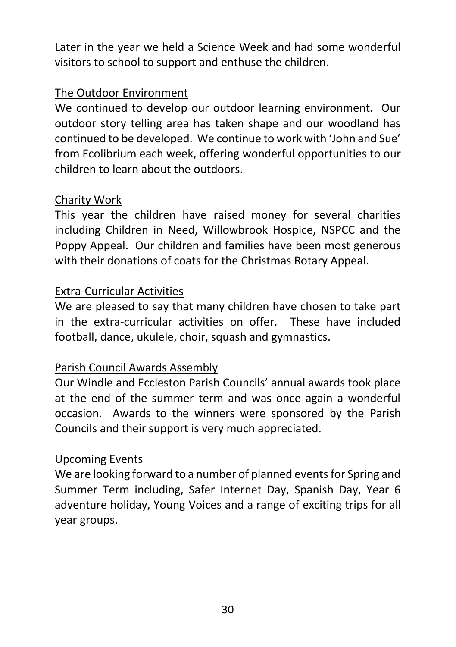Later in the year we held a Science Week and had some wonderful visitors to school to support and enthuse the children.

#### The Outdoor Environment

We continued to develop our outdoor learning environment. Our outdoor story telling area has taken shape and our woodland has continued to be developed. We continue to work with 'John and Sue' from Ecolibrium each week, offering wonderful opportunities to our children to learn about the outdoors.

# Charity Work

This year the children have raised money for several charities including Children in Need, Willowbrook Hospice, NSPCC and the Poppy Appeal. Our children and families have been most generous with their donations of coats for the Christmas Rotary Appeal.

# Extra-Curricular Activities

We are pleased to say that many children have chosen to take part in the extra-curricular activities on offer. These have included football, dance, ukulele, choir, squash and gymnastics.

# Parish Council Awards Assembly

Our Windle and Eccleston Parish Councils' annual awards took place at the end of the summer term and was once again a wonderful occasion. Awards to the winners were sponsored by the Parish Councils and their support is very much appreciated.

# Upcoming Events

We are looking forward to a number of planned events for Spring and Summer Term including, Safer Internet Day, Spanish Day, Year 6 adventure holiday, Young Voices and a range of exciting trips for all year groups.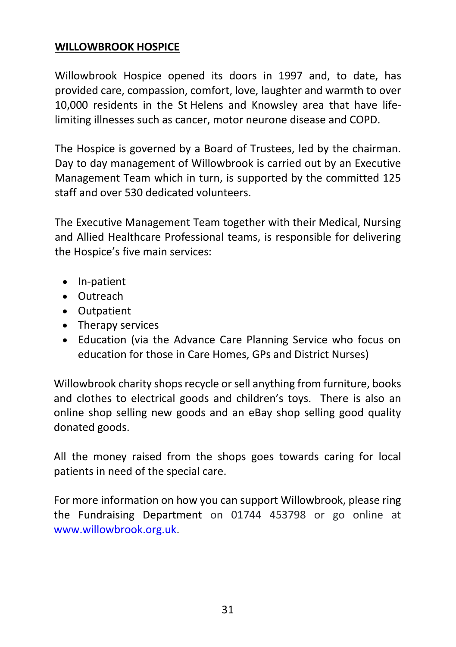#### **WILLOWBROOK HOSPICE**

Willowbrook Hospice opened its doors in 1997 and, to date, has provided care, compassion, comfort, love, laughter and warmth to over 10,000 residents in the St Helens and Knowsley area that have lifelimiting illnesses such as cancer, motor neurone disease and COPD.

The Hospice is governed by a Board of Trustees, led by the chairman. Day to day management of Willowbrook is carried out by an Executive Management Team which in turn, is supported by the committed 125 staff and over 530 dedicated volunteers.

The Executive Management Team together with their Medical, Nursing and Allied Healthcare Professional teams, is responsible for delivering the Hospice's five main services:

- In-patient
- Outreach
- Outpatient
- Therapy services
- Education (via the Advance Care Planning Service who focus on education for those in Care Homes, GPs and District Nurses)

Willowbrook charity shops recycle or sell anything from furniture, books and clothes to electrical goods and children's toys. There is also an online shop selling new goods and an eBay shop selling good quality donated goods.

All the money raised from the shops goes towards caring for local patients in need of the special care.

For more information on how you can support Willowbrook, please ring the Fundraising Department on 01744 453798 or go online at [www.willowbrook.org.uk.](http://www.willowbrook.org.uk/)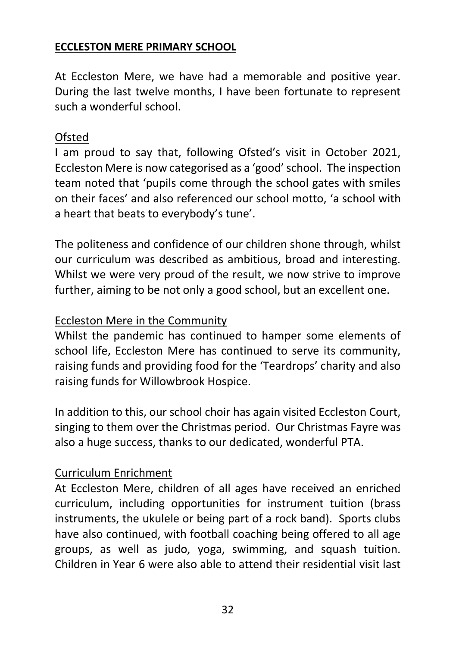# **ECCLESTON MERE PRIMARY SCHOOL**

At Eccleston Mere, we have had a memorable and positive year. During the last twelve months, I have been fortunate to represent such a wonderful school.

# **Ofsted**

I am proud to say that, following Ofsted's visit in October 2021, Eccleston Mere is now categorised as a 'good' school. The inspection team noted that 'pupils come through the school gates with smiles on their faces' and also referenced our school motto, 'a school with a heart that beats to everybody's tune'.

The politeness and confidence of our children shone through, whilst our curriculum was described as ambitious, broad and interesting. Whilst we were very proud of the result, we now strive to improve further, aiming to be not only a good school, but an excellent one.

# Eccleston Mere in the Community

Whilst the pandemic has continued to hamper some elements of school life, Eccleston Mere has continued to serve its community, raising funds and providing food for the 'Teardrops' charity and also raising funds for Willowbrook Hospice.

In addition to this, our school choir has again visited Eccleston Court, singing to them over the Christmas period. Our Christmas Fayre was also a huge success, thanks to our dedicated, wonderful PTA.

# Curriculum Enrichment

At Eccleston Mere, children of all ages have received an enriched curriculum, including opportunities for instrument tuition (brass instruments, the ukulele or being part of a rock band). Sports clubs have also continued, with football coaching being offered to all age groups, as well as judo, yoga, swimming, and squash tuition. Children in Year 6 were also able to attend their residential visit last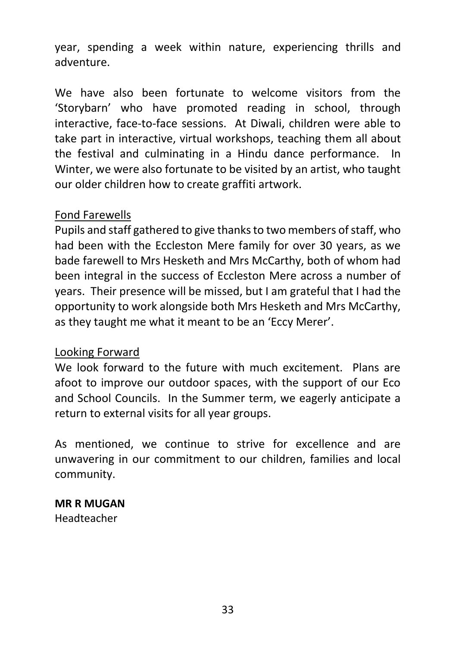year, spending a week within nature, experiencing thrills and adventure.

We have also been fortunate to welcome visitors from the 'Storybarn' who have promoted reading in school, through interactive, face-to-face sessions. At Diwali, children were able to take part in interactive, virtual workshops, teaching them all about the festival and culminating in a Hindu dance performance. In Winter, we were also fortunate to be visited by an artist, who taught our older children how to create graffiti artwork.

#### Fond Farewells

Pupils and staff gathered to give thanks to two members of staff, who had been with the Eccleston Mere family for over 30 years, as we bade farewell to Mrs Hesketh and Mrs McCarthy, both of whom had been integral in the success of Eccleston Mere across a number of years. Their presence will be missed, but I am grateful that I had the opportunity to work alongside both Mrs Hesketh and Mrs McCarthy, as they taught me what it meant to be an 'Eccy Merer'.

#### Looking Forward

We look forward to the future with much excitement. Plans are afoot to improve our outdoor spaces, with the support of our Eco and School Councils. In the Summer term, we eagerly anticipate a return to external visits for all year groups.

As mentioned, we continue to strive for excellence and are unwavering in our commitment to our children, families and local community.

# **MR R MUGAN**

Headteacher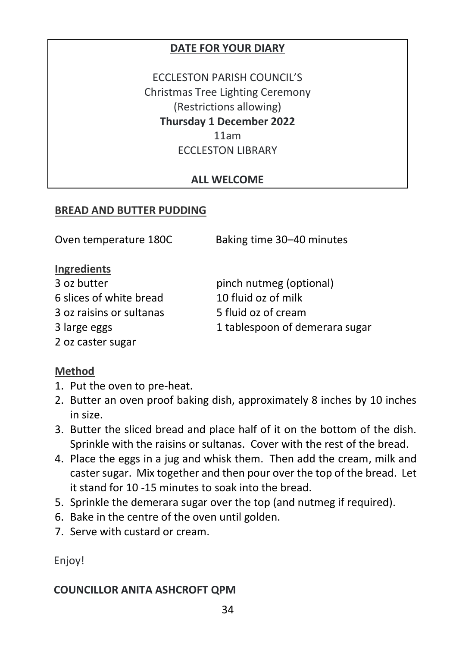#### **DATE FOR YOUR DIARY**

ECCLESTON PARISH COUNCIL'S Christmas Tree Lighting Ceremony (Restrictions allowing) **Thursday 1 December 2022** 11am ECCLESTON LIBRARY

#### **ALL WELCOME**

#### **BREAD AND BUTTER PUDDING**

| Oven temperature 180C    | Baking time 30-40 minutes      |
|--------------------------|--------------------------------|
| Ingredients              |                                |
| 3 oz butter              | pinch nutmeg (optional)        |
| 6 slices of white bread  | 10 fluid oz of milk            |
| 3 oz raisins or sultanas | 5 fluid oz of cream            |
| 3 large eggs             | 1 tablespoon of demerara sugar |
| 2 oz caster sugar        |                                |

#### **Method**

- 1. Put the oven to pre-heat.
- 2. Butter an oven proof baking dish, approximately 8 inches by 10 inches in size.
- 3. Butter the sliced bread and place half of it on the bottom of the dish. Sprinkle with the raisins or sultanas. Cover with the rest of the bread.
- 4. Place the eggs in a jug and whisk them. Then add the cream, milk and caster sugar. Mix together and then pour over the top of the bread. Let it stand for 10 -15 minutes to soak into the bread.
- 5. Sprinkle the demerara sugar over the top (and nutmeg if required).
- 6. Bake in the centre of the oven until golden.
- 7. Serve with custard or cream.

Enjoy!

#### **COUNCILLOR ANITA ASHCROFT QPM**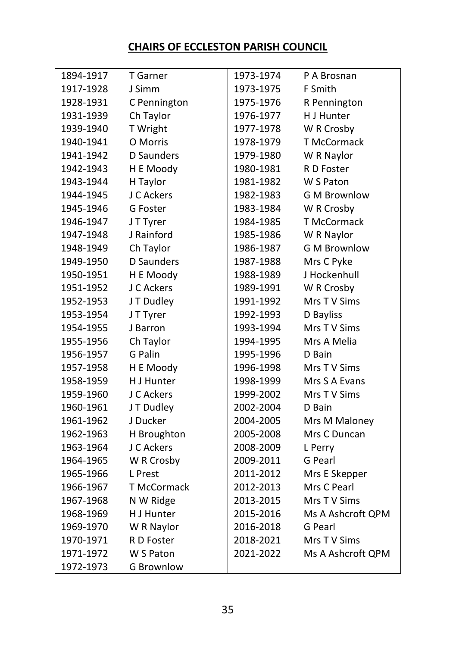# **CHAIRS OF ECCLESTON PARISH COUNCIL**

| 1894-1917 | T Garner          | 1973-1974 | P A Brosnan         |
|-----------|-------------------|-----------|---------------------|
| 1917-1928 | J Simm            | 1973-1975 | F Smith             |
| 1928-1931 | C Pennington      | 1975-1976 | R Pennington        |
| 1931-1939 | Ch Taylor         | 1976-1977 | H J Hunter          |
| 1939-1940 | T Wright          | 1977-1978 | W R Crosby          |
| 1940-1941 | O Morris          | 1978-1979 | T McCormack         |
| 1941-1942 | <b>D</b> Saunders | 1979-1980 | W R Naylor          |
| 1942-1943 | H E Moody         | 1980-1981 | R D Foster          |
| 1943-1944 | H Taylor          | 1981-1982 | W S Paton           |
| 1944-1945 | J C Ackers        | 1982-1983 | <b>G M Brownlow</b> |
| 1945-1946 | G Foster          | 1983-1984 | W R Crosby          |
| 1946-1947 | J T Tyrer         | 1984-1985 | T McCormack         |
| 1947-1948 | J Rainford        | 1985-1986 | W R Naylor          |
| 1948-1949 | Ch Taylor         | 1986-1987 | <b>GM Brownlow</b>  |
| 1949-1950 | <b>D</b> Saunders | 1987-1988 | Mrs C Pyke          |
| 1950-1951 | H E Moody         | 1988-1989 | J Hockenhull        |
| 1951-1952 | J C Ackers        | 1989-1991 | W R Crosby          |
| 1952-1953 | J T Dudley        | 1991-1992 | Mrs TV Sims         |
| 1953-1954 | J T Tyrer         | 1992-1993 | D Bayliss           |
| 1954-1955 | J Barron          | 1993-1994 | Mrs TV Sims         |
| 1955-1956 | Ch Taylor         | 1994-1995 | Mrs A Melia         |
| 1956-1957 | G Palin           | 1995-1996 | D Bain              |
| 1957-1958 | H E Moody         | 1996-1998 | Mrs TV Sims         |
| 1958-1959 | H J Hunter        | 1998-1999 | Mrs S A Evans       |
| 1959-1960 | J C Ackers        | 1999-2002 | Mrs TV Sims         |
| 1960-1961 | J T Dudley        | 2002-2004 | D Bain              |
| 1961-1962 | J Ducker          | 2004-2005 | Mrs M Maloney       |
| 1962-1963 | H Broughton       | 2005-2008 | Mrs C Duncan        |
| 1963-1964 | J C Ackers        | 2008-2009 | L Perry             |
| 1964-1965 | W R Crosby        | 2009-2011 | G Pearl             |
| 1965-1966 | L Prest           | 2011-2012 | Mrs E Skepper       |
| 1966-1967 | T McCormack       | 2012-2013 | Mrs C Pearl         |
| 1967-1968 | N W Ridge         | 2013-2015 | Mrs TV Sims         |
| 1968-1969 | H J Hunter        | 2015-2016 | Ms A Ashcroft QPM   |
| 1969-1970 | W R Naylor        | 2016-2018 | G Pearl             |
| 1970-1971 | R D Foster        | 2018-2021 | Mrs TV Sims         |
| 1971-1972 | W S Paton         | 2021-2022 | Ms A Ashcroft QPM   |
| 1972-1973 | <b>G Brownlow</b> |           |                     |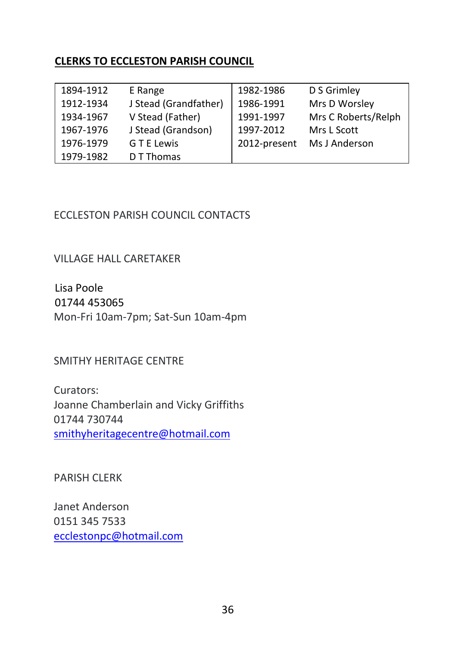#### **CLERKS TO ECCLESTON PARISH COUNCIL**

| 1894-1912 | E Range               | 1982-1986    | D S Grimley         |
|-----------|-----------------------|--------------|---------------------|
| 1912-1934 | J Stead (Grandfather) | 1986-1991    | Mrs D Worsley       |
| 1934-1967 | V Stead (Father)      | 1991-1997    | Mrs C Roberts/Relph |
| 1967-1976 | J Stead (Grandson)    | 1997-2012    | Mrs L Scott         |
| 1976-1979 | G T E Lewis           | 2012-present | Ms J Anderson       |
| 1979-1982 | D T Thomas            |              |                     |

#### ECCLESTON PARISH COUNCIL CONTACTS

VILLAGE HALL CARETAKER

Lisa Poole 01744 453065 Mon-Fri 10am-7pm; Sat-Sun 10am-4pm

SMITHY HERITAGE CENTRE

Curators: Joanne Chamberlain and Vicky Griffiths 01744 730744 [smithyheritagecentre@hotmail.com](mailto:smithyheritagecentre@hotmail.com)

PARISH CLERK

Janet Anderson 0151 345 7533 [ecclestonpc@hotmail.com](mailto:ecclestonpc@hotmail.com)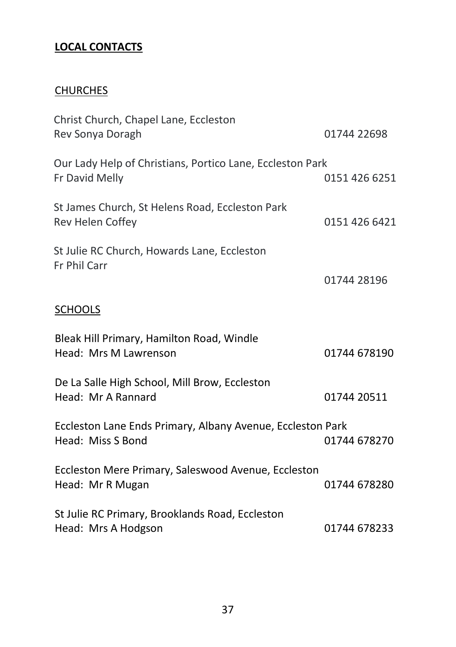# **LOCAL CONTACTS**

# **CHURCHES**

| Christ Church, Chapel Lane, Eccleston<br>Rev Sonya Doragh                       | 01744 22698   |
|---------------------------------------------------------------------------------|---------------|
| Our Lady Help of Christians, Portico Lane, Eccleston Park<br>Fr David Melly     | 0151 426 6251 |
| St James Church, St Helens Road, Eccleston Park<br>Rev Helen Coffey             | 0151 426 6421 |
| St Julie RC Church, Howards Lane, Eccleston<br>Fr Phil Carr                     | 01744 28196   |
| <b>SCHOOLS</b>                                                                  |               |
| Bleak Hill Primary, Hamilton Road, Windle<br>Head: Mrs M Lawrenson              | 01744 678190  |
| De La Salle High School, Mill Brow, Eccleston<br>Head: Mr A Rannard             | 01744 20511   |
| Eccleston Lane Ends Primary, Albany Avenue, Eccleston Park<br>Head: Miss S Bond | 01744 678270  |
| Eccleston Mere Primary, Saleswood Avenue, Eccleston<br>Head: Mr R Mugan         | 01744 678280  |
| St Julie RC Primary, Brooklands Road, Eccleston<br>Head: Mrs A Hodgson          | 01744 678233  |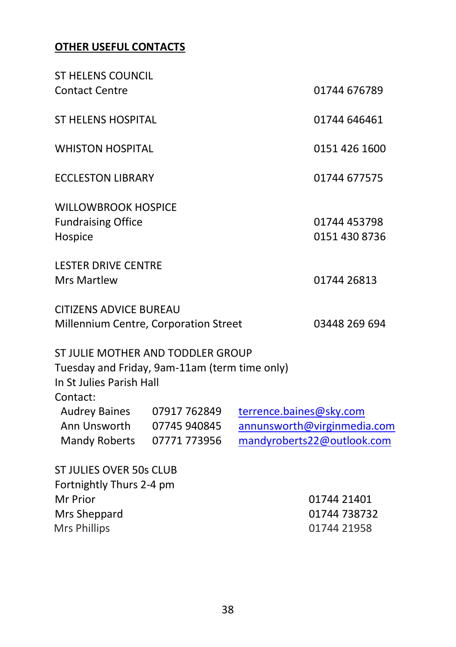#### **OTHER USEFUL CONTACTS**

| <b>ST HELENS COUNCIL</b><br><b>Contact Centre</b>                                                                          |                                              |                         | 01744 676789                                              |
|----------------------------------------------------------------------------------------------------------------------------|----------------------------------------------|-------------------------|-----------------------------------------------------------|
| ST HELENS HOSPITAL                                                                                                         |                                              |                         | 01744 646461                                              |
| <b>WHISTON HOSPITAL</b>                                                                                                    |                                              |                         | 0151 426 1600                                             |
| <b>ECCLESTON LIBRARY</b>                                                                                                   |                                              |                         | 01744 677575                                              |
| <b>WILLOWBROOK HOSPICE</b><br><b>Fundraising Office</b><br>Hospice                                                         |                                              |                         | 01744 453798<br>0151 430 8736                             |
| <b>LESTER DRIVE CENTRE</b><br><b>Mrs Martlew</b>                                                                           |                                              |                         | 01744 26813                                               |
| <b>CITIZENS ADVICE BUREAU</b><br>Millennium Centre, Corporation Street                                                     |                                              |                         | 03448 269 694                                             |
| ST JULIE MOTHER AND TODDLER GROUP<br>Tuesday and Friday, 9am-11am (term time only)<br>In St Julies Parish Hall<br>Contact: |                                              |                         |                                                           |
| <b>Audrey Baines</b><br>Ann Unsworth<br><b>Mandy Roberts</b>                                                               | 07917 762849<br>07745 940845<br>07771 773956 | terrence.baines@sky.com | annunsworth@virginmedia.com<br>mandyroberts22@outlook.com |
| ST JULIES OVER 50s CLUB<br>Fortnightly Thurs 2-4 pm                                                                        |                                              |                         |                                                           |
| Mr Prior                                                                                                                   |                                              |                         | 01744 21401                                               |
| Mrs Sheppard                                                                                                               |                                              |                         | 01744 738732                                              |
| Mrs Phillips                                                                                                               |                                              |                         | 01744 21958                                               |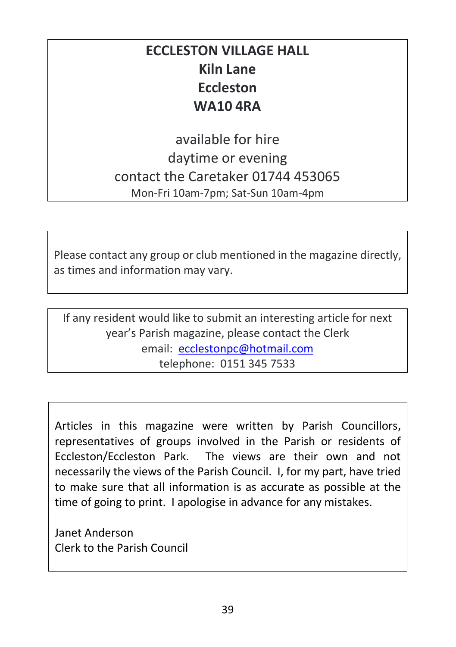# **ECCLESTON VILLAGE HALL Kiln Lane Eccleston WA10 4RA**

available for hire daytime or evening contact the Caretaker 01744 453065 Mon-Fri 10am-7pm; Sat-Sun 10am-4pm

Please contact any group or club mentioned in the magazine directly, as times and information may vary.

If any resident would like to submit an interesting article for next year's Parish magazine, please contact the Clerk email: [ecclestonpc@hotmail.com](mailto:ecclestonpc@hotmail.com) telephone: 0151 345 7533

Articles in this magazine were written by Parish Councillors, representatives of groups involved in the Parish or residents of Eccleston/Eccleston Park. The views are their own and not necessarily the views of the Parish Council. I, for my part, have tried to make sure that all information is as accurate as possible at the time of going to print. I apologise in advance for any mistakes.

Janet Anderson Clerk to the Parish Council